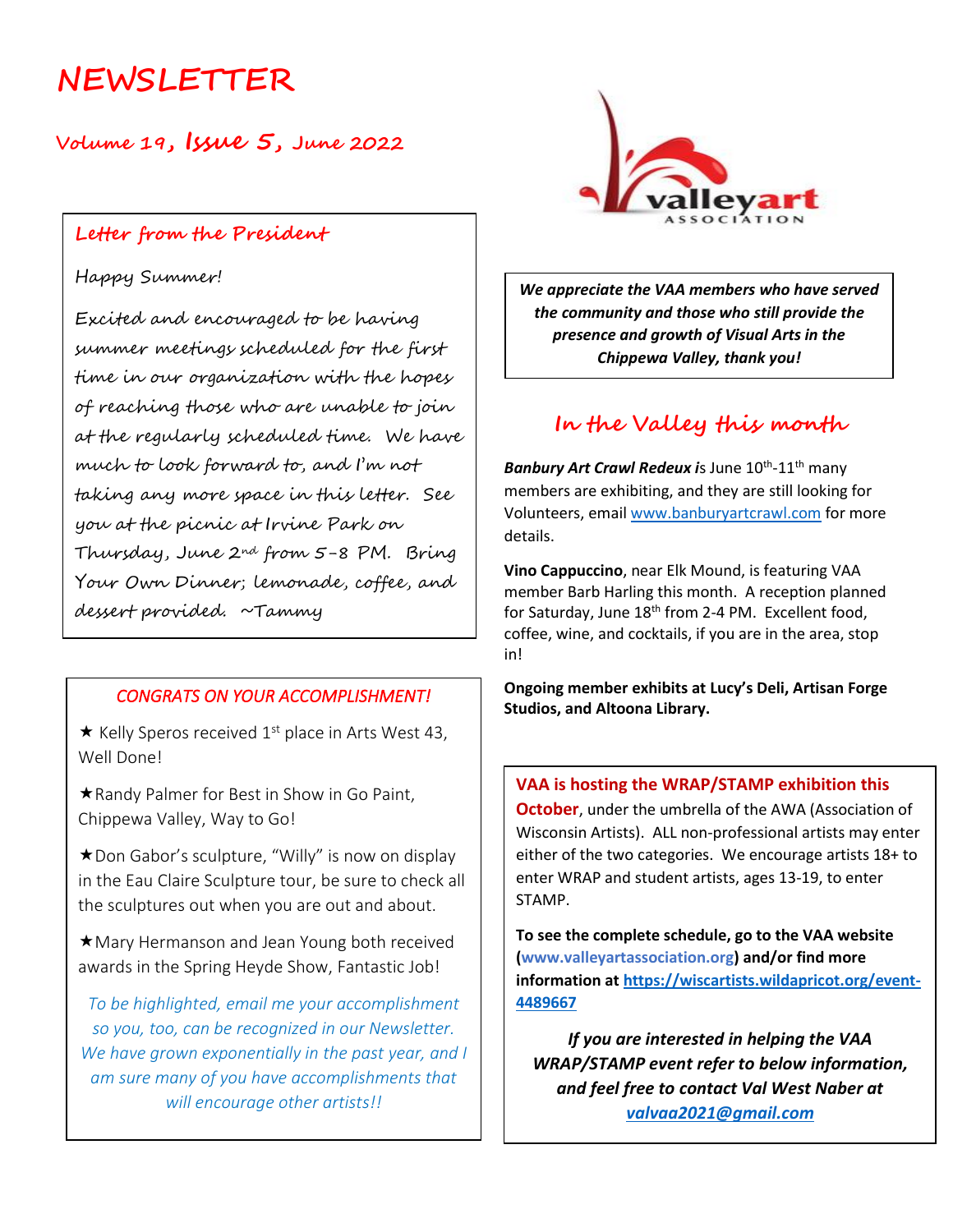# **NEWSLETTER**

**Volume 19, Issue 5, June 2022**

### **Letter from the President**

### Happy Summer!

Excited and encouraged to be having summer meetings scheduled for the first time in our organization with the hopes of reaching those who are unable to join at the regularly scheduled time. We have much to look forward to, and I'm not taking any more space in this letter. See you at the picnic at Irvine Park on Thursday, June 2nd from 5-8 PM. Bring Your Own Dinner; lemonade, coffee, and dessert provided. ~Tammy

### *CONGRATS ON YOUR ACCOMPLISHMENT!*

 $\star$  Kelly Speros received 1<sup>st</sup> place in Arts West 43, Well Done!

\* Randy Palmer for Best in Show in Go Paint, Chippewa Valley, Way to Go!

★ Don Gabor's sculpture, "Willy" is now on display in the Eau Claire Sculpture tour, be sure to check all the sculptures out when you are out and about.

Mary Hermanson and Jean Young both received awards in the Spring Heyde Show, Fantastic Job!

*To be highlighted, email me your accomplishment so you, too, can be recognized in our Newsletter. We have grown exponentially in the past year, and I am sure many of you have accomplishments that will encourage other artists!!*



*We appreciate the VAA members who have served the community and those who still provide the presence and growth of Visual Arts in the Chippewa Valley, thank you!*

### **In the Valley this month**

Banbury Art Crawl Redeux is June 10<sup>th</sup>-11<sup>th</sup> many members are exhibiting, and they are still looking for Volunteers, email [www.banburyartcrawl.com](http://www.banburyartcrawl.com/) for more details.

**Vino Cappuccino**, near Elk Mound, is featuring VAA member Barb Harling this month. A reception planned for Saturday, June  $18<sup>th</sup>$  from 2-4 PM. Excellent food, coffee, wine, and cocktails, if you are in the area, stop in!

**Ongoing member exhibits at Lucy's Deli, Artisan Forge Studios, and Altoona Library.**

#### **VAA is hosting the WRAP/STAMP exhibition this**

**October**, under the umbrella of the AWA (Association of Wisconsin Artists). ALL non-professional artists may enter either of the two categories. We encourage artists 18+ to enter WRAP and student artists, ages 13-19, to enter STAMP.

**To see the complete schedule, go to the VAA website (www.valleyartassociation.org) and/or find more information a[t https://wiscartists.wildapricot.org/event-](https://wiscartists.wildapricot.org/event-4489667)[4489667](https://wiscartists.wildapricot.org/event-4489667)** 

*If you are interested in helping the VAA WRAP/STAMP event refer to below information, and feel free to contact Val West Naber at [valvaa2021@gmail.com](mailto:valvaa2021@gmail.com)*